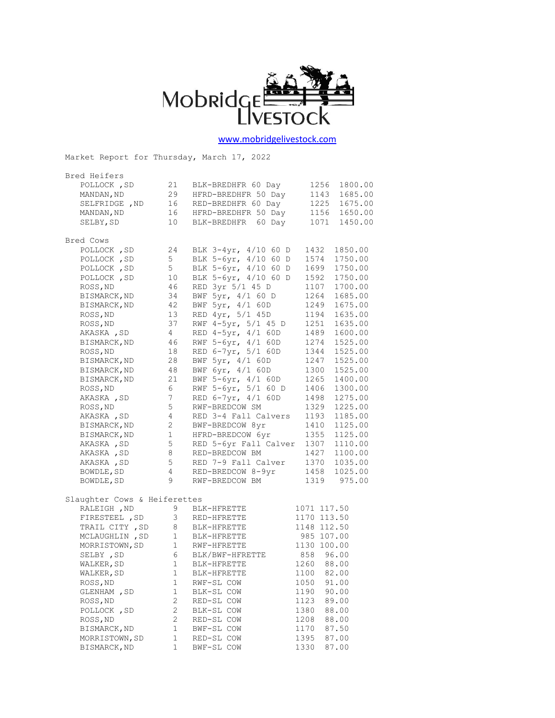

## [www.mobridgelivestock.com](http://www.mobridgelivestock.com/)

| Market Report for Thursday, March 17, 2022 |                 |                                |             |             |
|--------------------------------------------|-----------------|--------------------------------|-------------|-------------|
| Bred Heifers                               |                 |                                |             |             |
| POLLOCK, SD                                | 21              | BLK-BREDHFR 60 Day             | 1256        | 1800.00     |
| MANDAN, ND                                 | 29              | HFRD-BREDHFR 50 Day            | 1143        | 1685.00     |
| SELFRIDGE , ND                             | 16              | RED-BREDHFR 60 Day             | 1225        | 1675.00     |
| MANDAN, ND                                 |                 | 16 HFRD-BREDHFR 50 Day         | 1156        | 1650.00     |
| SELBY, SD                                  | 10              | BLK-BREDHFR 60 Day             | 1071        | 1450.00     |
| Bred Cows                                  |                 |                                |             |             |
| POLLOCK, SD                                | 24              | BLK 3-4yr, 4/10 60 D           | 1432        | 1850.00     |
| POLLOCK, SD                                | 5 <sup>5</sup>  | BLK 5-6yr, 4/10 60 D           | 1574        | 1750.00     |
| POLLOCK, SD                                | 5 <sub>5</sub>  | BLK 5-6yr, 4/10 60 D           | 1699        | 1750.00     |
| POLLOCK, SD                                | 10              | BLK 5-6yr, 4/10 60 D           | 1592        | 1750.00     |
| ROSS, ND                                   | 46              | RED 3yr 5/1 45 D               | 1107        | 1700.00     |
| BISMARCK, ND                               | 34              | BWF 5yr, 4/1 60 D              | 1264        | 1685.00     |
| BISMARCK, ND                               | 42              | BWF 5yr, 4/1 60D               | 1249        | 1675.00     |
| ROSS, ND                                   | 13              | RED 4yr, 5/1 45D               | 1194        | 1635.00     |
| ROSS, ND                                   | 37              | RWF 4-5yr, 5/1 45 D            | 1251        | 1635.00     |
| AKASKA , SD                                | $4\overline{ }$ | RED 4-5yr, 4/1 60D             | 1489        | 1600.00     |
| BISMARCK, ND                               | 46              | RWF 5-6yr, 4/1 60D             | 1274        | 1525.00     |
| ROSS, ND                                   | 18              | RED 6-7yr, 5/1 60D             | 1344        | 1525.00     |
| BISMARCK, ND                               | 28              | BWF 5yr, 4/1 60D               | 1247        | 1525.00     |
| BISMARCK, ND                               | 48              | BWF 6yr, 4/1 60D               | 1300        | 1525.00     |
| BISMARCK, ND                               | 21              | BWF 5-6yr, 4/1 60D             | 1265        | 1400.00     |
| ROSS, ND                                   | 6               | RWF 5-6yr, 5/1 60 D            | 1406        | 1300.00     |
| AKASKA, SD                                 | 7               | RED 6-7yr, 4/1 60D             | 1498        | 1275.00     |
| ROSS, ND                                   | 5               | RWF-BREDCOW SM                 | 1329        | 1225.00     |
| AKASKA , SD                                | 4               | RED 3-4 Fall Calvers           | 1193        | 1185.00     |
| BISMARCK, ND                               | 2               | BWF-BREDCOW 8yr                | 1410        | 1125.00     |
| BISMARCK, ND                               | $\mathbf{1}$    | HFRD-BREDCOW 6yr               | 1355        | 1125.00     |
| AKASKA, SD                                 | 5               | RED 5-6yr Fall Calver          | 1307        | 1110.00     |
| AKASKA, SD                                 | 8               | RED-BREDCOW BM                 | 1427        | 1100.00     |
| AKASKA, SD                                 | 5               | RED 7-9 Fall Calver            | 1370        | 1035.00     |
| BOWDLE, SD                                 | 4               | RED-BREDCOW 8-9yr              | 1458        | 1025.00     |
| BOWDLE, SD                                 | 9               | RWF-BREDCOW BM                 |             | 1319 975.00 |
| Slaughter Cows & Heiferettes               |                 |                                |             |             |
| RALEIGH , ND                               | 9               | BLK-HFRETTE                    | 1071 117.50 |             |
| FIRESTEEL , SD                             |                 | 3 RED-HFRETTE<br>8 BLK-HFRETTE | 1170 113.50 |             |
| TRAIL CITY, SD                             |                 |                                | 1148 112.50 |             |
| MCLAUGHLIN, SD                             |                 | 1 BLK-HFRETTE                  | 985 107.00  |             |
| MORRISTOWN, SD                             | 1               | RWF-HFRETTE                    | 1130 100.00 |             |
| SELBY , SD                                 | 6               | BLK/BWF-HFRETTE                | 858 96.00   |             |
| WALKER, SD                                 | 1               | BLK-HFRETTE                    | 1260        | 88.00       |
| WALKER, SD                                 | 1               | BLK-HFRETTE                    | 1100        | 82.00       |
| ROSS, ND                                   | $1\,$           | RWF-SL COW                     | 1050        | 91.00       |
| GLENHAM , SD                               | $\mathbf 1$     | BLK-SL COW                     | 1190        | 90.00       |
| ROSS, ND                                   | 2               | RED-SL COW                     | 1123        | 89.00       |
| POLLOCK, SD                                | $\mathbf{2}$    | BLK-SL COW                     | 1380        | 88.00       |
| ROSS, ND                                   | $\mathbf{2}$    | RED-SL COW                     | 1208        | 88.00       |
| BISMARCK, ND                               | $1\,$           | BWF-SL COW                     | 1170        | 87.50       |
| MORRISTOWN, SD                             | $\mathbf 1$     | RED-SL COW                     | 1395        | 87.00       |
| BISMARCK, ND                               | 1               | BWF-SL COW                     | 1330        | 87.00       |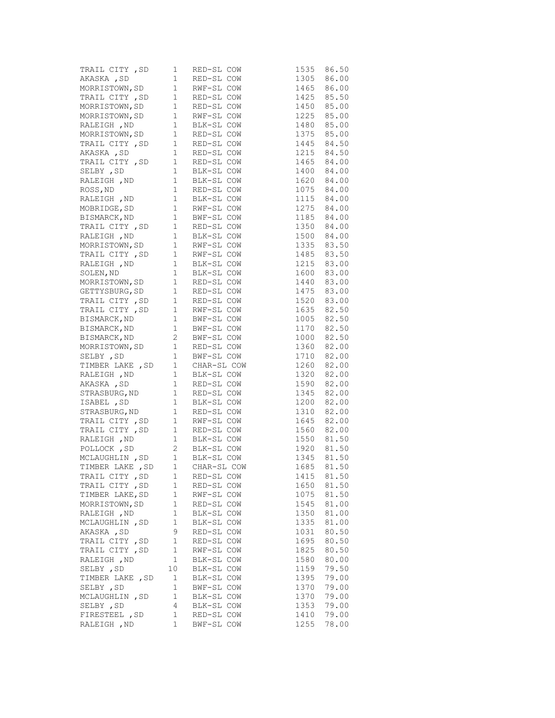|                  |              | $\begin{tabular}{lcccccc} \texttt{TRAIL CITY} & SD & 1 & RED-SL \texttt{ \texttt{COW}} & 1535 & 86.50 \\ \texttt{AKASKA} & SD & 1 & RED-SL \texttt{ \texttt{COW}} & 1305 & 86.00 \\ \texttt{MORRISTOWN, SD} & 1 & RWP-SL \texttt{ \texttt{COW}} & 1465 & 86.00 \\ \texttt{TRAIL CITY} & SD & 1 & RED-SL \texttt{ \texttt{COW}} & 1425 & 85.50 \\$ |                          |            |
|------------------|--------------|---------------------------------------------------------------------------------------------------------------------------------------------------------------------------------------------------------------------------------------------------------------------------------------------------------------------------------------------------|--------------------------|------------|
|                  |              |                                                                                                                                                                                                                                                                                                                                                   |                          |            |
|                  |              |                                                                                                                                                                                                                                                                                                                                                   |                          |            |
|                  |              |                                                                                                                                                                                                                                                                                                                                                   |                          |            |
|                  |              |                                                                                                                                                                                                                                                                                                                                                   |                          |            |
|                  |              | MORRISTOWN, SD $1$ RWF-SL COW $1225$ 85.00                                                                                                                                                                                                                                                                                                        |                          |            |
|                  |              | RALEIGH, ND<br>MORRISTOWN, SD<br>1 RED-SL COW<br>TRAIL CITY, SD<br>1 RED-SL COW<br>TRAIL CITY, SD<br>1 RED-SL COW                                                                                                                                                                                                                                 |                          |            |
|                  |              |                                                                                                                                                                                                                                                                                                                                                   | 1480 85.00<br>1375 85.00 |            |
|                  |              |                                                                                                                                                                                                                                                                                                                                                   |                          | 1445 84.50 |
|                  |              |                                                                                                                                                                                                                                                                                                                                                   |                          |            |
|                  |              |                                                                                                                                                                                                                                                                                                                                                   |                          |            |
|                  |              |                                                                                                                                                                                                                                                                                                                                                   |                          |            |
|                  |              |                                                                                                                                                                                                                                                                                                                                                   |                          |            |
|                  |              |                                                                                                                                                                                                                                                                                                                                                   |                          |            |
|                  |              | 1943 (1997)<br>AKASKA, SD 1 RED-SL COW 1215 84.50<br>TRAIL CITY, SD 1 RED-SL COW 1465 84.00<br>SELBY, SD 1 BLK-SL COW 1400 84.00<br>RALEIGH, ND 1 BLK-SL COW 1620 84.00<br>ROSS, ND 1 RED-SL COW 1075 84.00<br>RALEIGH, ND 1 RED-SL COW 10                                                                                                        |                          |            |
|                  |              |                                                                                                                                                                                                                                                                                                                                                   |                          |            |
|                  |              |                                                                                                                                                                                                                                                                                                                                                   |                          |            |
|                  |              | BISMARCK, ND 1 BWF-SL COW 1185 84.00<br>TRAIL CITY, SD 1 RED-SL COW 1350 84.00<br>RALEIGH, ND 1 BLK-SL COW 1500 84.00                                                                                                                                                                                                                             |                          |            |
|                  |              |                                                                                                                                                                                                                                                                                                                                                   |                          |            |
|                  |              |                                                                                                                                                                                                                                                                                                                                                   |                          |            |
|                  |              |                                                                                                                                                                                                                                                                                                                                                   |                          |            |
|                  |              |                                                                                                                                                                                                                                                                                                                                                   |                          |            |
|                  |              |                                                                                                                                                                                                                                                                                                                                                   |                          |            |
|                  |              | MORRISTOWN, SD 1 BLK-SL COW 1335 83.50<br>TRAIL CITY , SD 1 RWF-SL COW 1485 83.50<br>RALEIGH , ND 1 BLK-SL COW 1485 83.50<br>SOLEN, ND 1 BLK-SL COW 1215 83.00<br>SOLEN, ND 1 BLK-SL COW 1600 83.00<br>MORRISTOWN, SD 1 RED-SL COW 1440                                                                                                           |                          |            |
|                  |              |                                                                                                                                                                                                                                                                                                                                                   |                          |            |
|                  |              |                                                                                                                                                                                                                                                                                                                                                   |                          |            |
|                  |              | TRAIL CITY, SD 1 RED-SL COW                                                                                                                                                                                                                                                                                                                       |                          | 1520 83.00 |
|                  |              | TRAIL CITY , SD 1 RWF-SL COW<br>BISMARCK, ND 1 BWF-SL COW<br>BISMARCK, ND 1 BWF-SL COW                                                                                                                                                                                                                                                            | 1635 82.50<br>1005 82.50 |            |
|                  |              |                                                                                                                                                                                                                                                                                                                                                   |                          | 1005 82.50 |
|                  |              |                                                                                                                                                                                                                                                                                                                                                   |                          | 1170 82.50 |
|                  |              | BISMARCK, ND<br>BISMARCK, ND<br>2 BWF-SL COW<br>1000 82.50<br>MORRISTOWN, SD<br>1 RED-SL COW<br>1360 82.00<br>SELBY, SD<br>1 BWF-SL COW<br>1710 82.00<br>TIMBER LAKE, SD<br>1 CHAR-SL COW<br>1260 82.00<br>RALEIGH, ND<br>1 BLK-SL COW<br>1320 82.00<br>AKASKA                                                                                    |                          |            |
|                  |              |                                                                                                                                                                                                                                                                                                                                                   |                          |            |
|                  |              |                                                                                                                                                                                                                                                                                                                                                   |                          |            |
|                  |              |                                                                                                                                                                                                                                                                                                                                                   |                          |            |
|                  |              |                                                                                                                                                                                                                                                                                                                                                   |                          |            |
|                  |              |                                                                                                                                                                                                                                                                                                                                                   |                          |            |
|                  |              | STRASBURG, ND 1 RED-SL COW                                                                                                                                                                                                                                                                                                                        |                          | 1345 82.00 |
|                  |              |                                                                                                                                                                                                                                                                                                                                                   |                          |            |
|                  |              |                                                                                                                                                                                                                                                                                                                                                   |                          |            |
|                  |              |                                                                                                                                                                                                                                                                                                                                                   |                          |            |
|                  |              |                                                                                                                                                                                                                                                                                                                                                   |                          |            |
|                  |              |                                                                                                                                                                                                                                                                                                                                                   |                          |            |
|                  |              |                                                                                                                                                                                                                                                                                                                                                   |                          |            |
|                  |              |                                                                                                                                                                                                                                                                                                                                                   |                          |            |
|                  |              | STRASBURG, ND 1 RED-SL COW 1345 82.00<br>ISABEL, SD 1 BLK-SL COW 1200 82.00<br>STRASBURG, ND 1 RED-SL COW 1310 82.00<br>TRAIL CITY, SD 1 RWF-SL COW 1645 82.00<br>TRAIL CITY, SD 1 RED-SL COW 1645 82.00<br>TRAIL CITY, SD 1 BLK-SL COW                                                                                                           |                          |            |
| TRAIL CITY , SD  | 1            | RED-SL COW                                                                                                                                                                                                                                                                                                                                        | 1415                     | 81.50      |
| TRAIL CITY, SD   | 1            | RED-SL COW                                                                                                                                                                                                                                                                                                                                        | 1650                     | 81.50      |
| TIMBER LAKE, SD  | $\mathbf{1}$ | RWF-SL COW                                                                                                                                                                                                                                                                                                                                        | 1075                     | 81.50      |
| MORRISTOWN, SD   | 1            | RED-SL COW                                                                                                                                                                                                                                                                                                                                        | 1545                     | 81.00      |
| RALEIGH , ND     | $\mathbf 1$  | BLK-SL COW                                                                                                                                                                                                                                                                                                                                        | 1350                     | 81.00      |
| MCLAUGHLIN, SD   | 1            | BLK-SL COW                                                                                                                                                                                                                                                                                                                                        | 1335                     | 81.00      |
| AKASKA, SD       | 9            | RED-SL COW                                                                                                                                                                                                                                                                                                                                        | 1031                     | 80.50      |
| TRAIL CITY, SD   | $\mathbf{1}$ | RED-SL COW                                                                                                                                                                                                                                                                                                                                        | 1695                     | 80.50      |
| TRAIL CITY, SD   | 1            | RWF-SL COW                                                                                                                                                                                                                                                                                                                                        | 1825                     | 80.50      |
| RALEIGH , ND     | $\mathbf{1}$ | BLK-SL COW                                                                                                                                                                                                                                                                                                                                        | 1580                     | 80.00      |
| SELBY, SD        | 10           | BLK-SL COW                                                                                                                                                                                                                                                                                                                                        | 1159                     | 79.50      |
| TIMBER LAKE , SD | 1            | BLK-SL COW                                                                                                                                                                                                                                                                                                                                        | 1395                     | 79.00      |
| SELBY , SD       | 1            | BWF-SL COW                                                                                                                                                                                                                                                                                                                                        | 1370                     | 79.00      |
| MCLAUGHLIN, SD   | $\mathbf{1}$ | BLK-SL COW                                                                                                                                                                                                                                                                                                                                        | 1370                     | 79.00      |
| SELBY , SD       | 4            | BLK-SL COW                                                                                                                                                                                                                                                                                                                                        | 1353                     | 79.00      |
| FIRESTEEL , SD   | 1            | RED-SL COW                                                                                                                                                                                                                                                                                                                                        | 1410                     | 79.00      |
| RALEIGH , ND     | $\mathbf 1$  | BWF-SL COW                                                                                                                                                                                                                                                                                                                                        | 1255                     | 78.00      |
|                  |              |                                                                                                                                                                                                                                                                                                                                                   |                          |            |